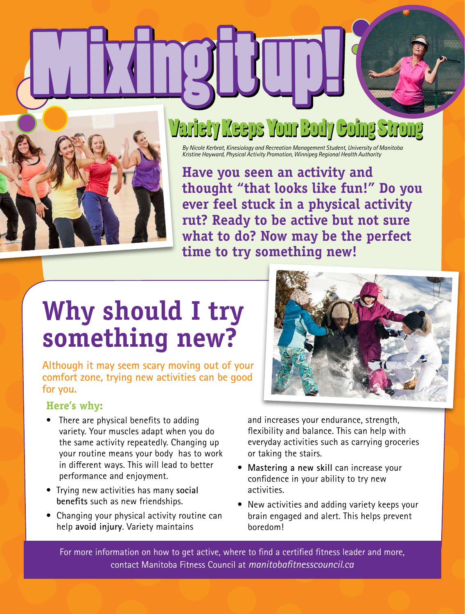

## Variety Keeps Your Body Going Strong Variety Keeps Your Body Going Strong

*By Nicole Kerbrat, Kinesiology and Recreation Management Student, University of Manitoba Kristine Hayward, Physical Activity Promotion, Winnipeg Regional Health Authority*

**Have you seen an activity and thought "that looks like fun!" Do you ever feel stuck in a physical activity rut? Ready to be active but not sure what to do? Now may be the perfect time to try something new!**

# **Why should I try something new?**

**Although it may seem scary moving out of your comfort zone, trying new activities can be good for you.** 

### **Here's why:**

- There are physical benefits to adding variety. Your muscles adapt when you do the same activity repeatedly. Changing up your routine means your body has to work in different ways. This will lead to better performance and enjoyment.
- Trying new activities has many **social benefits** such as new friendships.
- Changing your physical activity routine can help **avoid injury**. Variety maintains



and increases your endurance, strength, flexibility and balance. This can help with everyday activities such as carrying groceries or taking the stairs.

- **Mastering a new skill** can increase your confidence in your ability to try new activities.
- New activities and adding variety keeps your brain engaged and alert. This helps prevent boredom!

For more information on how to get active, where to find a certified fitness leader and more, contact Manitoba Fitness Council at *manitobafitnesscouncil.ca*